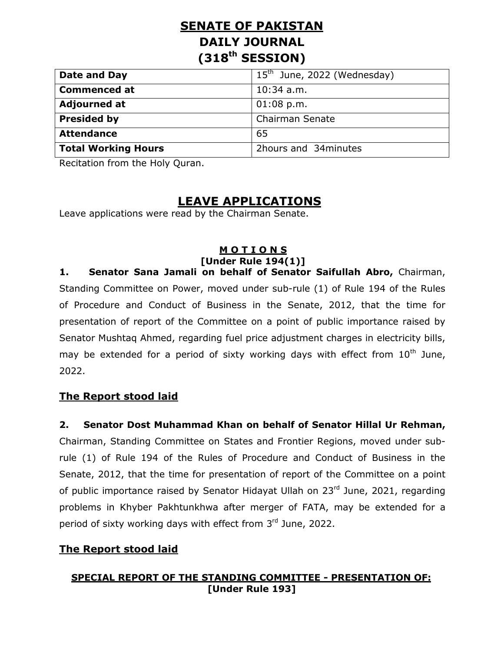# **SENATE OF PAKISTAN DAILY JOURNAL (318th SESSION)**

| Date and Day               | $15th$ June, 2022 (Wednesday) |
|----------------------------|-------------------------------|
| <b>Commenced at</b>        | $10:34$ a.m.                  |
| <b>Adjourned at</b>        | $01:08$ p.m.                  |
| <b>Presided by</b>         | <b>Chairman Senate</b>        |
| <b>Attendance</b>          | 65                            |
| <b>Total Working Hours</b> | 2hours and 34 minutes         |

Recitation from the Holy Quran.

## **LEAVE APPLICATIONS**

Leave applications were read by the Chairman Senate.

#### **M O T I O N S [Under Rule 194(1)]**

**1. Senator Sana Jamali on behalf of Senator Saifullah Abro,** Chairman, Standing Committee on Power, moved under sub-rule (1) of Rule 194 of the Rules of Procedure and Conduct of Business in the Senate, 2012, that the time for presentation of report of the Committee on a point of public importance raised by Senator Mushtaq Ahmed, regarding fuel price adjustment charges in electricity bills, may be extended for a period of sixty working days with effect from  $10^{th}$  June, 2022.

#### **The Report stood laid**

#### **2. Senator Dost Muhammad Khan on behalf of Senator Hillal Ur Rehman,**

Chairman, Standing Committee on States and Frontier Regions, moved under subrule (1) of Rule 194 of the Rules of Procedure and Conduct of Business in the Senate, 2012, that the time for presentation of report of the Committee on a point of public importance raised by Senator Hidayat Ullah on 23<sup>rd</sup> June, 2021, regarding problems in Khyber Pakhtunkhwa after merger of FATA, may be extended for a period of sixty working days with effect from 3rd June, 2022.

#### **The Report stood laid**

#### **SPECIAL REPORT OF THE STANDING COMMITTEE - PRESENTATION OF: [Under Rule 193]**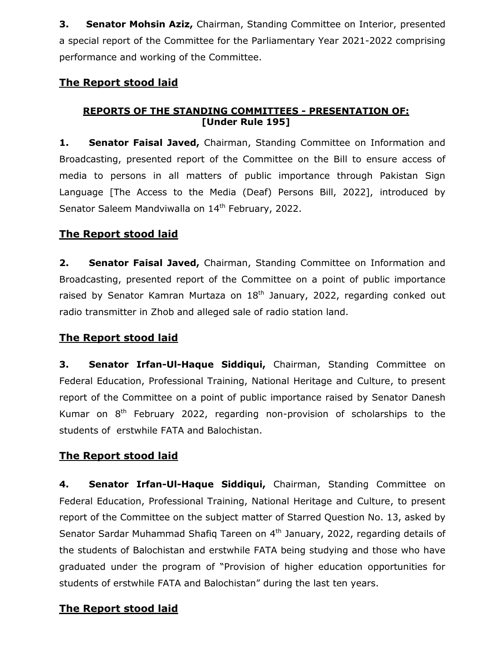**3. Senator Mohsin Aziz, Chairman, Standing Committee on Interior, presented** a special report of the Committee for the Parliamentary Year 2021-2022 comprising performance and working of the Committee.

#### **The Report stood laid**

#### **REPORTS OF THE STANDING COMMITTEES - PRESENTATION OF: [Under Rule 195]**

1. **Senator Faisal Javed,** Chairman, Standing Committee on Information and Broadcasting, presented report of the Committee on the Bill to ensure access of media to persons in all matters of public importance through Pakistan Sign Language [The Access to the Media (Deaf) Persons Bill, 2022], introduced by Senator Saleem Mandviwalla on 14<sup>th</sup> February, 2022.

## **The Report stood laid**

**2. Senator Faisal Javed,** Chairman, Standing Committee on Information and Broadcasting, presented report of the Committee on a point of public importance raised by Senator Kamran Murtaza on  $18<sup>th</sup>$  January, 2022, regarding conked out radio transmitter in Zhob and alleged sale of radio station land.

## **The Report stood laid**

**3. Senator Irfan-Ul-Haque Siddiqui,** Chairman, Standing Committee on Federal Education, Professional Training, National Heritage and Culture, to present report of the Committee on a point of public importance raised by Senator Danesh Kumar on  $8<sup>th</sup>$  February 2022, regarding non-provision of scholarships to the students of erstwhile FATA and Balochistan.

## **The Report stood laid**

**4. Senator Irfan-Ul-Haque Siddiqui,** Chairman, Standing Committee on Federal Education, Professional Training, National Heritage and Culture, to present report of the Committee on the subject matter of Starred Question No. 13, asked by Senator Sardar Muhammad Shafiq Tareen on 4<sup>th</sup> January, 2022, regarding details of the students of Balochistan and erstwhile FATA being studying and those who have graduated under the program of "Provision of higher education opportunities for students of erstwhile FATA and Balochistan" during the last ten years.

## **The Report stood laid**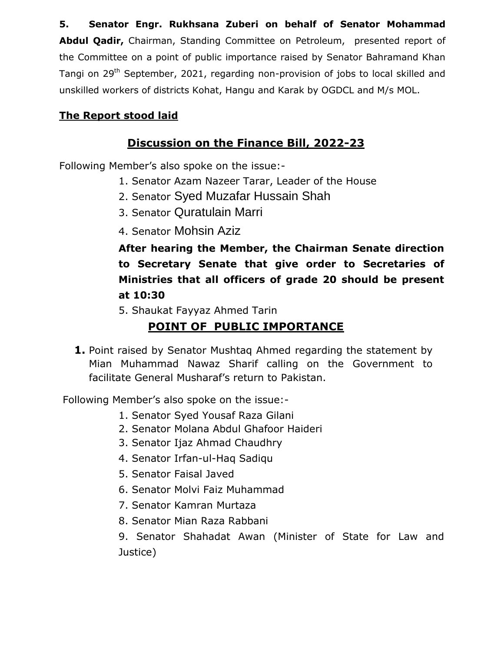**5. Senator Engr. Rukhsana Zuberi on behalf of Senator Mohammad Abdul Qadir,** Chairman, Standing Committee on Petroleum, presented report of the Committee on a point of public importance raised by Senator Bahramand Khan Tangi on 29<sup>th</sup> September, 2021, regarding non-provision of jobs to local skilled and unskilled workers of districts Kohat, Hangu and Karak by OGDCL and M/s MOL.

## **The Report stood laid**

## **Discussion on the Finance Bill, 2022-23**

Following Member's also spoke on the issue:-

- 1. Senator Azam Nazeer Tarar, Leader of the House
- 2. Senator Syed Muzafar Hussain Shah
- 3. Senator Quratulain Marri
- 4. Senator Mohsin Aziz

**After hearing the Member, the Chairman Senate direction to Secretary Senate that give order to Secretaries of Ministries that all officers of grade 20 should be present at 10:30**

5. Shaukat Fayyaz Ahmed Tarin

# **POINT OF PUBLIC IMPORTANCE**

**1.** Point raised by Senator Mushtaq Ahmed regarding the statement by Mian Muhammad Nawaz Sharif calling on the Government to facilitate General Musharaf's return to Pakistan.

Following Member's also spoke on the issue:-

- 1. Senator Syed Yousaf Raza Gilani
- 2. Senator Molana Abdul Ghafoor Haideri
- 3. Senator Ijaz Ahmad Chaudhry
- 4. Senator Irfan-ul-Haq Sadiqu
- 5. Senator Faisal Javed
- 6. Senator Molvi Faiz Muhammad
- 7. Senator Kamran Murtaza
- 8. Senator Mian Raza Rabbani

9. Senator Shahadat Awan (Minister of State for Law and Justice)